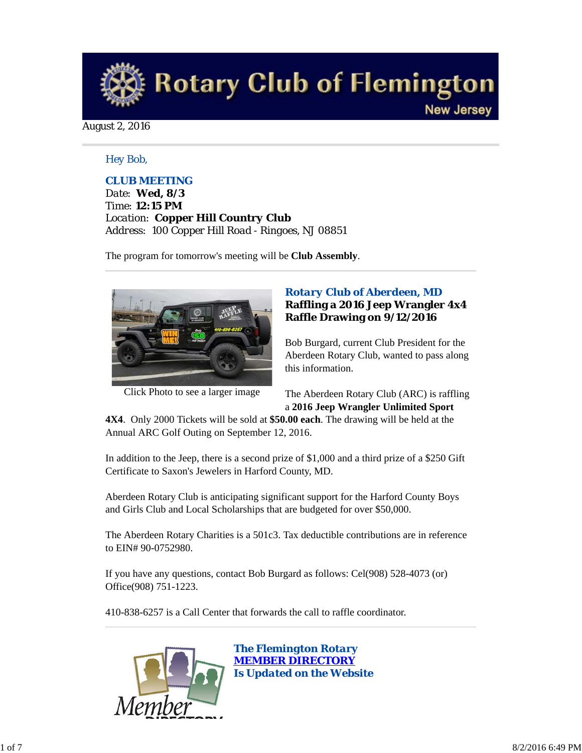

August 2, 2016

## *Hey Bob,*

## *CLUB MEETING*

*Date: Wed, 8/3 Time: 12:15 PM Location: Copper Hill Country Club Address: 100 Copper Hill Road - Ringoes, NJ 08851*

The program for tomorrow's meeting will be **Club Assembly**.



Click Photo to see a larger image

## *Rotary Club of Aberdeen, MD* **Raffling a 2016 Jeep Wrangler 4x4 Raffle Drawing on 9/12/2016**

Bob Burgard, current Club President for the Aberdeen Rotary Club, wanted to pass along this information.

The Aberdeen Rotary Club (ARC) is raffling a **2016 Jeep Wrangler Unlimited Sport**

**4X4**. Only 2000 Tickets will be sold at **\$50.00 each**. The drawing will be held at the Annual ARC Golf Outing on September 12, 2016.

In addition to the Jeep, there is a second prize of \$1,000 and a third prize of a \$250 Gift Certificate to Saxon's Jewelers in Harford County, MD.

Aberdeen Rotary Club is anticipating significant support for the Harford County Boys and Girls Club and Local Scholarships that are budgeted for over \$50,000.

The Aberdeen Rotary Charities is a 501c3. Tax deductible contributions are in reference to EIN# 90-0752980.

If you have any questions, contact Bob Burgard as follows: Cel(908) 528-4073 (or) Office(908) 751-1223.

410-838-6257 is a Call Center that forwards the call to raffle coordinator.



*The Flemington Rotary MEMBER DIRECTORY Is Updated on the Website*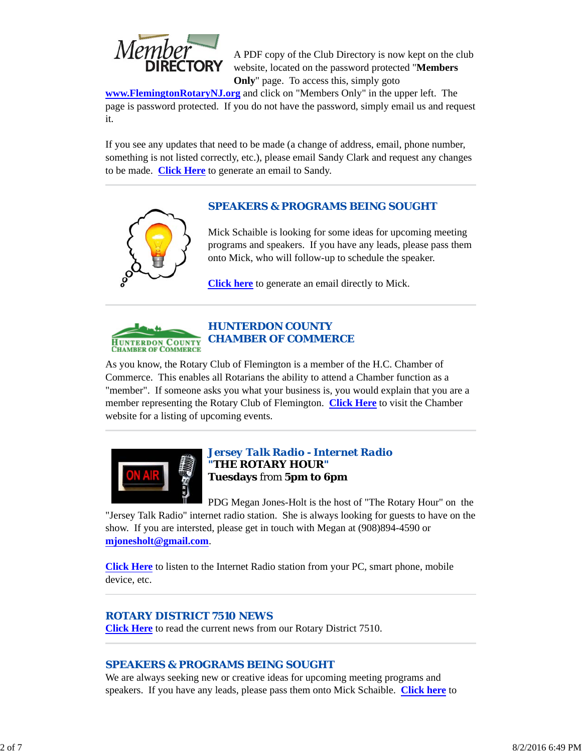

A PDF copy of the Club Directory is now kept on the club website, located on the password protected "**Members Only**" page. To access this, simply goto

**www.FlemingtonRotaryNJ.org** and click on "Members Only" in the upper left. The page is password protected. If you do not have the password, simply email us and request it.

If you see any updates that need to be made (a change of address, email, phone number, something is not listed correctly, etc.), please email Sandy Clark and request any changes to be made. **Click Here** to generate an email to Sandy.

# *SPEAKERS & PROGRAMS BEING SOUGHT*

Mick Schaible is looking for some ideas for upcoming meeting programs and speakers. If you have any leads, please pass them onto Mick, who will follow-up to schedule the speaker.

**Click here** to generate an email directly to Mick.



# *HUNTERDON COUNTY CHAMBER OF COMMERCE*

As you know, the Rotary Club of Flemington is a member of the H.C. Chamber of Commerce. This enables all Rotarians the ability to attend a Chamber function as a "member". If someone asks you what your business is, you would explain that you are a member representing the Rotary Club of Flemington. **Click Here** to visit the Chamber website for a listing of upcoming events.



## *Jersey Talk Radio - Internet Radio "THE ROTARY HOUR"* **Tuesdays** from **5pm to 6pm**

PDG Megan Jones-Holt is the host of "The Rotary Hour" on the "Jersey Talk Radio" internet radio station. She is always looking for guests to have on the show. If you are intersted, please get in touch with Megan at (908)894-4590 or **mjonesholt@gmail.com**.

**Click Here** to listen to the Internet Radio station from your PC, smart phone, mobile device, etc.

## *ROTARY DISTRICT 7510 NEWS*

**Click Here** to read the current news from our Rotary District 7510.

# *SPEAKERS & PROGRAMS BEING SOUGHT*

We are always seeking new or creative ideas for upcoming meeting programs and speakers. If you have any leads, please pass them onto Mick Schaible. **Click here** to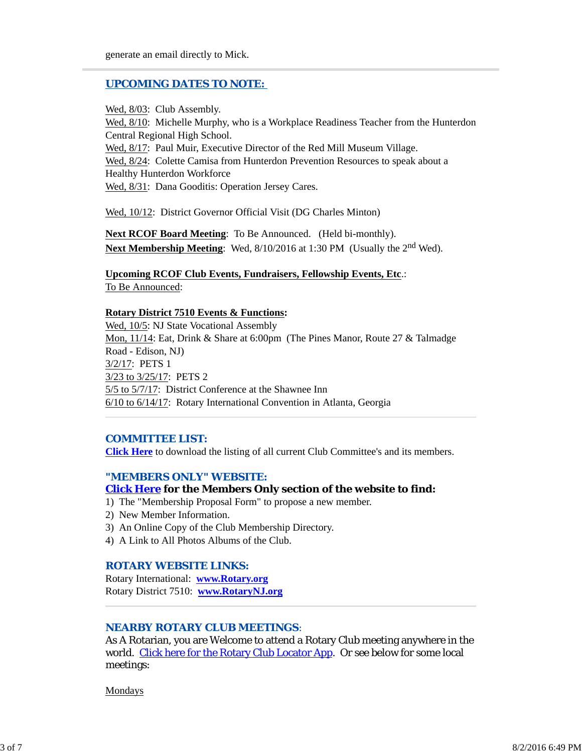## *UPCOMING DATES TO NOTE:*

Wed, 8/03: Club Assembly. Wed, 8/10: Michelle Murphy, who is a Workplace Readiness Teacher from the Hunterdon Central Regional High School. Wed, 8/17: Paul Muir, Executive Director of the Red Mill Museum Village. Wed, 8/24: Colette Camisa from Hunterdon Prevention Resources to speak about a Healthy Hunterdon Workforce Wed, 8/31: Dana Gooditis: Operation Jersey Cares.

Wed, 10/12: District Governor Official Visit (DG Charles Minton)

**Next RCOF Board Meeting**: To Be Announced. (Held bi-monthly). **Next Membership Meeting**: Wed, 8/10/2016 at 1:30 PM (Usually the 2nd Wed).

**Upcoming RCOF Club Events, Fundraisers, Fellowship Events, Etc**.: To Be Announced:

#### **Rotary District 7510 Events & Functions:**

Wed, 10/5: NJ State Vocational Assembly Mon, 11/14: Eat, Drink & Share at 6:00pm (The Pines Manor, Route 27 & Talmadge Road - Edison, NJ) 3/2/17: PETS 1 3/23 to 3/25/17: PETS 2 5/5 to 5/7/17: District Conference at the Shawnee Inn 6/10 to 6/14/17: Rotary International Convention in Atlanta, Georgia

## *COMMITTEE LIST:*

**Click Here** to download the listing of all current Club Committee's and its members.

#### *"MEMBERS ONLY" WEBSITE:*

#### **Click Here for the Members Only section of the website to find:**

- 1) The "Membership Proposal Form" to propose a new member.
- 2) New Member Information.
- 3) An Online Copy of the Club Membership Directory.
- 4) A Link to All Photos Albums of the Club.

## *ROTARY WEBSITE LINKS:*

Rotary International: **www.Rotary.org** Rotary District 7510: **www.RotaryNJ.org**

## *NEARBY ROTARY CLUB MEETINGS:*

As A Rotarian, you are Welcome to attend a Rotary Club meeting anywhere in the world. Click here for the Rotary Club Locator App. Or see below for some local meetings:

Mondays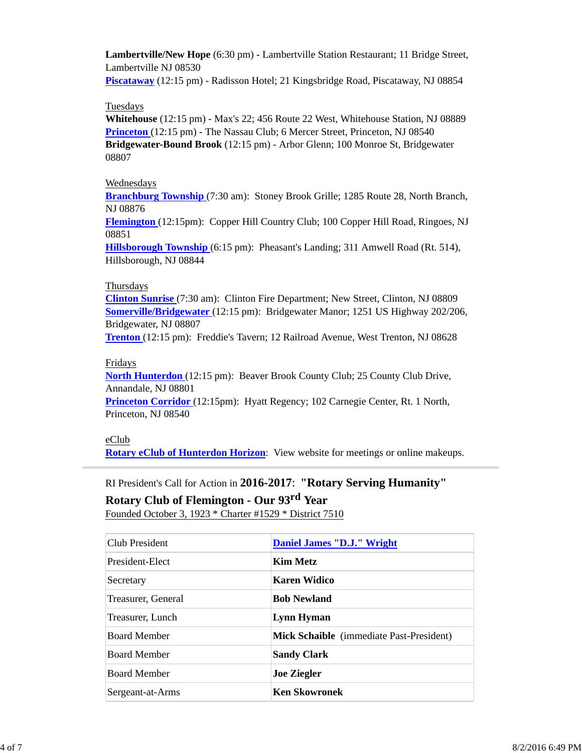**Lambertville/New Hope** (6:30 pm) - Lambertville Station Restaurant; 11 Bridge Street, Lambertville NJ 08530

**Piscataway** (12:15 pm) - Radisson Hotel; 21 Kingsbridge Road, Piscataway, NJ 08854

## **Tuesdays**

**Whitehouse** (12:15 pm) - Max's 22; 456 Route 22 West, Whitehouse Station, NJ 08889 **Princeton** (12:15 pm) - The Nassau Club; 6 Mercer Street, Princeton, NJ 08540 **Bridgewater-Bound Brook** (12:15 pm) - Arbor Glenn; 100 Monroe St, Bridgewater 08807

## Wednesdays

**Branchburg Township** (7:30 am): Stoney Brook Grille; 1285 Route 28, North Branch, NJ 08876

**Flemington** (12:15pm): Copper Hill Country Club; 100 Copper Hill Road, Ringoes, NJ 08851

**Hillsborough Township** (6:15 pm): Pheasant's Landing; 311 Amwell Road (Rt. 514), Hillsborough, NJ 08844

## **Thursdays**

**Clinton Sunrise** (7:30 am): Clinton Fire Department; New Street, Clinton, NJ 08809 **Somerville/Bridgewater** (12:15 pm): Bridgewater Manor; 1251 US Highway 202/206, Bridgewater, NJ 08807

**Trenton** (12:15 pm): Freddie's Tavern; 12 Railroad Avenue, West Trenton, NJ 08628

## Fridays

**North Hunterdon** (12:15 pm): Beaver Brook County Club; 25 County Club Drive, Annandale, NJ 08801

**Princeton Corridor** (12:15pm): Hyatt Regency; 102 Carnegie Center, Rt. 1 North, Princeton, NJ 08540

## eClub

**Rotary eClub of Hunterdon Horizon**: View website for meetings or online makeups.

# RI President's Call for Action in **2016-2017**: **"Rotary Serving Humanity"**

**Rotary Club of Flemington - Our 93rd Year**

Founded October 3, 1923 \* Charter #1529 \* District 7510

| Club President      | Daniel James "D.J." Wright                      |  |
|---------------------|-------------------------------------------------|--|
| President-Elect     | <b>Kim Metz</b>                                 |  |
| Secretary           | Karen Widico                                    |  |
| Treasurer, General  | <b>Bob Newland</b>                              |  |
| Treasurer, Lunch    | Lynn Hyman                                      |  |
| <b>Board Member</b> | <b>Mick Schaible</b> (immediate Past-President) |  |
| <b>Board Member</b> | <b>Sandy Clark</b>                              |  |
| <b>Board Member</b> | <b>Joe Ziegler</b>                              |  |
| Sergeant-at-Arms    | <b>Ken Skowronek</b>                            |  |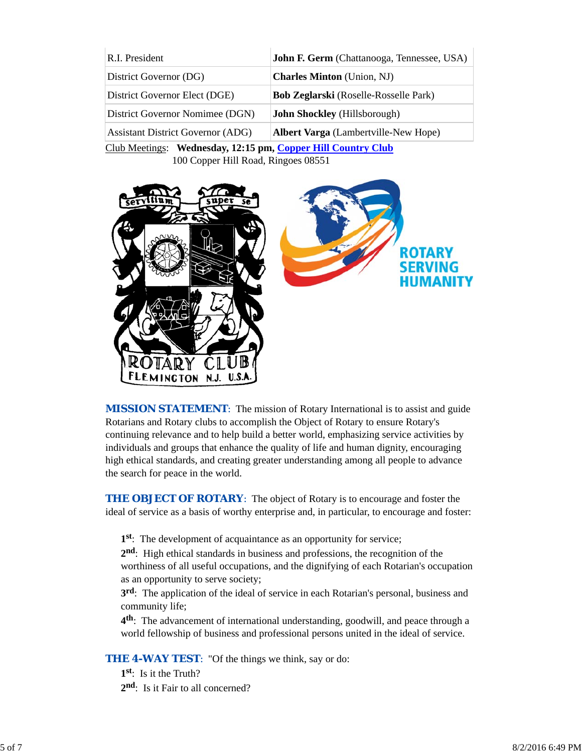| R.I. President                           | <b>John F. Germ</b> (Chattanooga, Tennessee, USA) |  |
|------------------------------------------|---------------------------------------------------|--|
| District Governor (DG)                   | <b>Charles Minton</b> (Union, NJ)                 |  |
| District Governor Elect (DGE)            | <b>Bob Zeglarski</b> (Roselle-Rosselle Park)      |  |
| District Governor Nomimee (DGN)          | <b>John Shockley</b> (Hillsborough)               |  |
| <b>Assistant District Governor (ADG)</b> | <b>Albert Varga</b> (Lambertville-New Hope)       |  |
|                                          |                                                   |  |

Club Meetings: **Wednesday, 12:15 pm, Copper Hill Country Club** 100 Copper Hill Road, Ringoes 08551



*MISSION STATEMENT*: The mission of Rotary International is to assist and guide Rotarians and Rotary clubs to accomplish the Object of Rotary to ensure Rotary's continuing relevance and to help build a better world, emphasizing service activities by individuals and groups that enhance the quality of life and human dignity, encouraging high ethical standards, and creating greater understanding among all people to advance the search for peace in the world.

**THE OBJECT OF ROTARY:** The object of Rotary is to encourage and foster the ideal of service as a basis of worthy enterprise and, in particular, to encourage and foster:

**1st**: The development of acquaintance as an opportunity for service;

**2nd**: High ethical standards in business and professions, the recognition of the worthiness of all useful occupations, and the dignifying of each Rotarian's occupation as an opportunity to serve society;

**3rd**: The application of the ideal of service in each Rotarian's personal, business and community life;

**4th**: The advancement of international understanding, goodwill, and peace through a world fellowship of business and professional persons united in the ideal of service.

**THE 4-WAY TEST:** "Of the things we think, say or do:

**1st**: Is it the Truth? 2<sup>nd</sup>: Is it Fair to all concerned?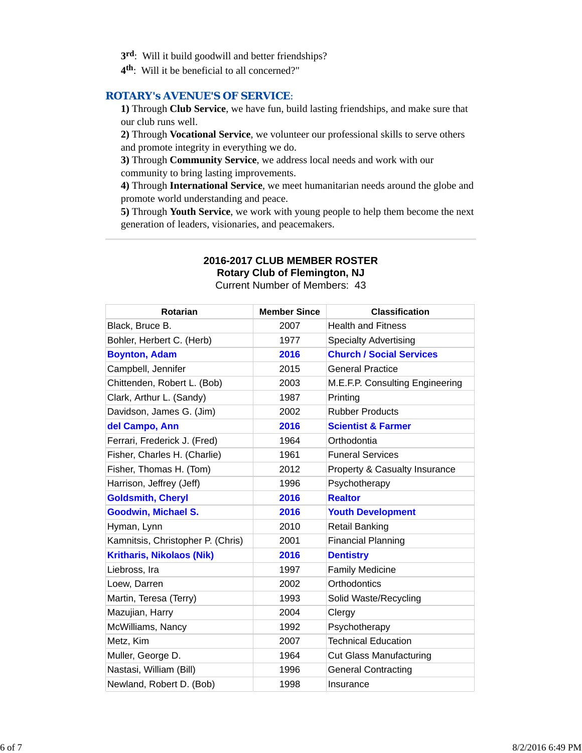- **3rd**: Will it build goodwill and better friendships?
- **4th**: Will it be beneficial to all concerned?"

#### *ROTARY's AVENUE'S OF SERVICE*:

**1)** Through **Club Service**, we have fun, build lasting friendships, and make sure that our club runs well.

**2)** Through **Vocational Service**, we volunteer our professional skills to serve others and promote integrity in everything we do.

**3)** Through **Community Service**, we address local needs and work with our community to bring lasting improvements.

**4)** Through **International Service**, we meet humanitarian needs around the globe and promote world understanding and peace.

**5)** Through **Youth Service**, we work with young people to help them become the next generation of leaders, visionaries, and peacemakers.

# **2016-2017 CLUB MEMBER ROSTER**

**Rotary Club of Flemington, NJ**

Current Number of Members: 43

| <b>Rotarian</b>                   | <b>Member Since</b> | <b>Classification</b>           |
|-----------------------------------|---------------------|---------------------------------|
| Black, Bruce B.                   | 2007                | <b>Health and Fitness</b>       |
| Bohler, Herbert C. (Herb)         | 1977                | <b>Specialty Advertising</b>    |
| <b>Boynton, Adam</b>              | 2016                | <b>Church / Social Services</b> |
| Campbell, Jennifer                | 2015                | <b>General Practice</b>         |
| Chittenden, Robert L. (Bob)       | 2003                | M.E.F.P. Consulting Engineering |
| Clark, Arthur L. (Sandy)          | 1987                | Printing                        |
| Davidson, James G. (Jim)          | 2002                | <b>Rubber Products</b>          |
| del Campo, Ann                    | 2016                | <b>Scientist &amp; Farmer</b>   |
| Ferrari, Frederick J. (Fred)      | 1964                | Orthodontia                     |
| Fisher, Charles H. (Charlie)      | 1961                | <b>Funeral Services</b>         |
| Fisher, Thomas H. (Tom)           | 2012                | Property & Casualty Insurance   |
| Harrison, Jeffrey (Jeff)          | 1996                | Psychotherapy                   |
| <b>Goldsmith, Cheryl</b>          | 2016                | <b>Realtor</b>                  |
| <b>Goodwin, Michael S.</b>        | 2016                | <b>Youth Development</b>        |
| Hyman, Lynn                       | 2010                | <b>Retail Banking</b>           |
| Kamnitsis, Christopher P. (Chris) | 2001                | <b>Financial Planning</b>       |
| <b>Kritharis, Nikolaos (Nik)</b>  | 2016                | <b>Dentistry</b>                |
| Liebross, Ira                     | 1997                | <b>Family Medicine</b>          |
| Loew, Darren                      | 2002                | Orthodontics                    |
| Martin, Teresa (Terry)            | 1993                | Solid Waste/Recycling           |
| Mazujian, Harry                   | 2004                | Clergy                          |
| McWilliams, Nancy                 | 1992                | Psychotherapy                   |
| Metz, Kim                         | 2007                | <b>Technical Education</b>      |
| Muller, George D.                 | 1964                | <b>Cut Glass Manufacturing</b>  |
| Nastasi, William (Bill)           | 1996                | <b>General Contracting</b>      |
| Newland, Robert D. (Bob)          | 1998                | Insurance                       |